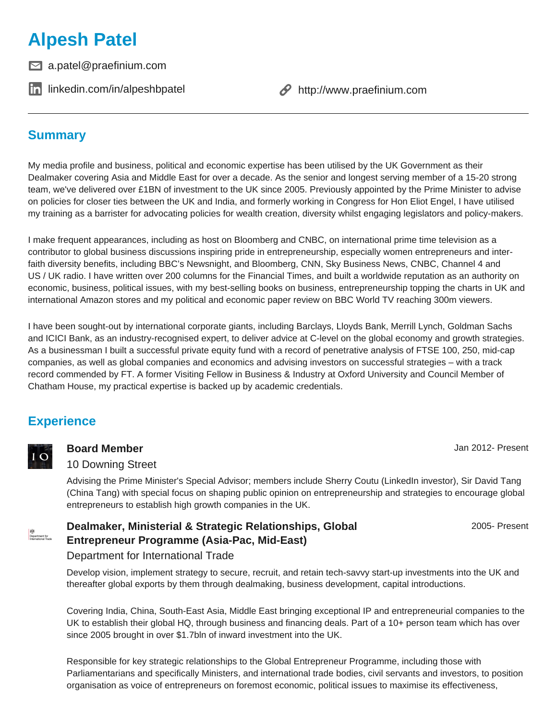# **Alpesh Patel**

 $□$  a.patel@praefinium.com

**in** [linkedin.com/in/alpeshbpatel](https://www.linkedin.com/in/alpeshbpatel) **example 3** <http://www.praefinium.com>

## **Summary**

My media profile and business, political and economic expertise has been utilised by the UK Government as their Dealmaker covering Asia and Middle East for over a decade. As the senior and longest serving member of a 15-20 strong team, we've delivered over £1BN of investment to the UK since 2005. Previously appointed by the Prime Minister to advise on policies for closer ties between the UK and India, and formerly working in Congress for Hon Eliot Engel, I have utilised my training as a barrister for advocating policies for wealth creation, diversity whilst engaging legislators and policy-makers.

I make frequent appearances, including as host on Bloomberg and CNBC, on international prime time television as a contributor to global business discussions inspiring pride in entrepreneurship, especially women entrepreneurs and interfaith diversity benefits, including BBC's Newsnight, and Bloomberg, CNN, Sky Business News, CNBC, Channel 4 and US / UK radio. I have written over 200 columns for the Financial Times, and built a worldwide reputation as an authority on economic, business, political issues, with my best-selling books on business, entrepreneurship topping the charts in UK and international Amazon stores and my political and economic paper review on BBC World TV reaching 300m viewers.

I have been sought-out by international corporate giants, including Barclays, Lloyds Bank, Merrill Lynch, Goldman Sachs and ICICI Bank, as an industry-recognised expert, to deliver advice at C-level on the global economy and growth strategies. As a businessman I built a successful private equity fund with a record of penetrative analysis of FTSE 100, 250, mid-cap companies, as well as global companies and economics and advising investors on successful strategies – with a track record commended by FT. A former Visiting Fellow in Business & Industry at Oxford University and Council Member of Chatham House, my practical expertise is backed up by academic credentials.

## **Experience**



**精神**<br>Department for<br>International Track

### **Board Member** Jan 2012- Present

### 10 Downing Street

Advising the Prime Minister's Special Advisor; members include Sherry Coutu (LinkedIn investor), Sir David Tang (China Tang) with special focus on shaping public opinion on entrepreneurship and strategies to encourage global entrepreneurs to establish high growth companies in the UK.

## 2005- Present

## Department for International Trade

**Dealmaker, Ministerial & Strategic Relationships, Global**

**Entrepreneur Programme (Asia-Pac, Mid-East)**

Develop vision, implement strategy to secure, recruit, and retain tech-savvy start-up investments into the UK and thereafter global exports by them through dealmaking, business development, capital introductions.

Covering India, China, South-East Asia, Middle East bringing exceptional IP and entrepreneurial companies to the UK to establish their global HQ, through business and financing deals. Part of a 10+ person team which has over since 2005 brought in over \$1.7bln of inward investment into the UK.

Responsible for key strategic relationships to the Global Entrepreneur Programme, including those with Parliamentarians and specifically Ministers, and international trade bodies, civil servants and investors, to position organisation as voice of entrepreneurs on foremost economic, political issues to maximise its effectiveness,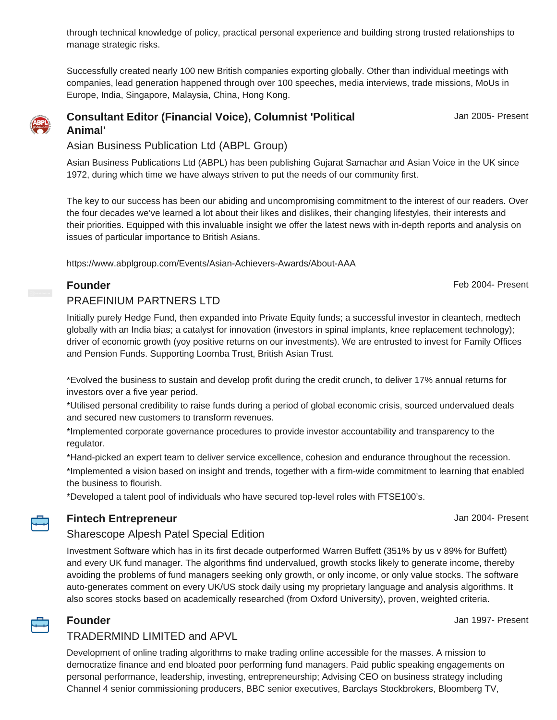through technical knowledge of policy, practical personal experience and building strong trusted relationships to manage strategic risks.

Successfully created nearly 100 new British companies exporting globally. Other than individual meetings with companies, lead generation happened through over 100 speeches, media interviews, trade missions, MoUs in Europe, India, Singapore, Malaysia, China, Hong Kong.

### **Consultant Editor (Financial Voice), Columnist 'Political Animal'**

Jan 2005- Present

Asian Business Publication Ltd (ABPL Group)

Asian Business Publications Ltd (ABPL) has been publishing Gujarat Samachar and Asian Voice in the UK since 1972, during which time we have always striven to put the needs of our community first.

The key to our success has been our abiding and uncompromising commitment to the interest of our readers. Over the four decades we've learned a lot about their likes and dislikes, their changing lifestyles, their interests and their priorities. Equipped with this invaluable insight we offer the latest news with in-depth reports and analysis on issues of particular importance to British Asians.

https://www.abplgroup.com/Events/Asian-Achievers-Awards/About-AAA

### **Founder** Founder **Founder Founder Feb 2004-** Present

### PRAEFINIUM PARTNERS LTD

Initially purely Hedge Fund, then expanded into Private Equity funds; a successful investor in cleantech, medtech globally with an India bias; a catalyst for innovation (investors in spinal implants, knee replacement technology); driver of economic growth (yoy positive returns on our investments). We are entrusted to invest for Family Offices and Pension Funds. Supporting Loomba Trust, British Asian Trust.

\*Evolved the business to sustain and develop profit during the credit crunch, to deliver 17% annual returns for investors over a five year period.

\*Utilised personal credibility to raise funds during a period of global economic crisis, sourced undervalued deals and secured new customers to transform revenues.

\*Implemented corporate governance procedures to provide investor accountability and transparency to the regulator.

\*Hand-picked an expert team to deliver service excellence, cohesion and endurance throughout the recession.

\*Implemented a vision based on insight and trends, together with a firm-wide commitment to learning that enabled the business to flourish.

\*Developed a talent pool of individuals who have secured top-level roles with FTSE100's.

## **Fintech Entrepreneur Fintech Entrepreneur Jan 2004- Present**

### Sharescope Alpesh Patel Special Edition

Investment Software which has in its first decade outperformed Warren Buffett (351% by us v 89% for Buffett) and every UK fund manager. The algorithms find undervalued, growth stocks likely to generate income, thereby avoiding the problems of fund managers seeking only growth, or only income, or only value stocks. The software auto-generates comment on every UK/US stock daily using my proprietary language and analysis algorithms. It also scores stocks based on academically researched (from Oxford University), proven, weighted criteria.



### **Founder** Jan 1997- Present

## TRADERMIND LIMITED and APVL

Development of online trading algorithms to make trading online accessible for the masses. A mission to democratize finance and end bloated poor performing fund managers. Paid public speaking engagements on personal performance, leadership, investing, entrepreneurship; Advising CEO on business strategy including Channel 4 senior commissioning producers, BBC senior executives, Barclays Stockbrokers, Bloomberg TV,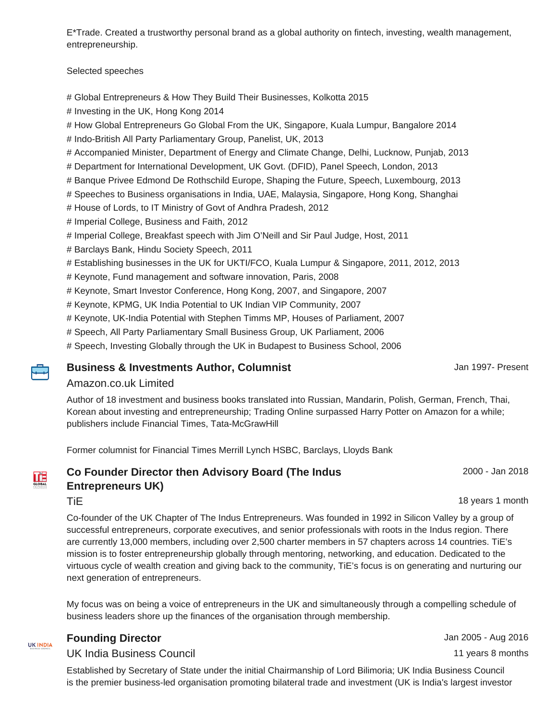E\*Trade. Created a trustworthy personal brand as a global authority on fintech, investing, wealth management, entrepreneurship.

Selected speeches

- # Global Entrepreneurs & How They Build Their Businesses, Kolkotta 2015
- # Investing in the UK, Hong Kong 2014
- # How Global Entrepreneurs Go Global From the UK, Singapore, Kuala Lumpur, Bangalore 2014
- # Indo-British All Party Parliamentary Group, Panelist, UK, 2013
- # Accompanied Minister, Department of Energy and Climate Change, Delhi, Lucknow, Punjab, 2013
- # Department for International Development, UK Govt. (DFID), Panel Speech, London, 2013
- # Banque Privee Edmond De Rothschild Europe, Shaping the Future, Speech, Luxembourg, 2013
- # Speeches to Business organisations in India, UAE, Malaysia, Singapore, Hong Kong, Shanghai
- # House of Lords, to IT Ministry of Govt of Andhra Pradesh, 2012
- # Imperial College, Business and Faith, 2012
- # Imperial College, Breakfast speech with Jim O'Neill and Sir Paul Judge, Host, 2011
- # Barclays Bank, Hindu Society Speech, 2011

# Establishing businesses in the UK for UKTI/FCO, Kuala Lumpur & Singapore, 2011, 2012, 2013

- # Keynote, Fund management and software innovation, Paris, 2008
- # Keynote, Smart Investor Conference, Hong Kong, 2007, and Singapore, 2007
- # Keynote, KPMG, UK India Potential to UK Indian VIP Community, 2007
- # Keynote, UK-India Potential with Stephen Timms MP, Houses of Parliament, 2007
- # Speech, All Party Parliamentary Small Business Group, UK Parliament, 2006
- # Speech, Investing Globally through the UK in Budapest to Business School, 2006

### **Business & Investments Author, Columnist** And Author Jan 1997- Present

### Amazon.co.uk Limited

Author of 18 investment and business books translated into Russian, Mandarin, Polish, German, French, Thai, Korean about investing and entrepreneurship; Trading Online surpassed Harry Potter on Amazon for a while; publishers include Financial Times, Tata-McGrawHill

Former columnist for Financial Times Merrill Lynch HSBC, Barclays, Lloyds Bank

## **Co Founder Director then Advisory Board (The Indus Entrepreneurs UK)**

2000 - Jan 2018

TiE 18 years 1 month

Co-founder of the UK Chapter of The Indus Entrepreneurs. Was founded in 1992 in Silicon Valley by a group of successful entrepreneurs, corporate executives, and senior professionals with roots in the Indus region. There are currently 13,000 members, including over 2,500 charter members in 57 chapters across 14 countries. TiE's mission is to foster entrepreneurship globally through mentoring, networking, and education. Dedicated to the virtuous cycle of wealth creation and giving back to the community, TiE's focus is on generating and nurturing our next generation of entrepreneurs.

My focus was on being a voice of entrepreneurs in the UK and simultaneously through a compelling schedule of business leaders shore up the finances of the organisation through membership.

| UK INDIA                       |  |
|--------------------------------|--|
| <b><i>RUSINESS COUNCIL</i></b> |  |

### **Founding Director** Jan 2005 - Aug 2016

### UK India Business Council 11 years 8 months

Established by Secretary of State under the initial Chairmanship of Lord Bilimoria; UK India Business Council is the premier business-led organisation promoting bilateral trade and investment (UK is India's largest investor



**THE**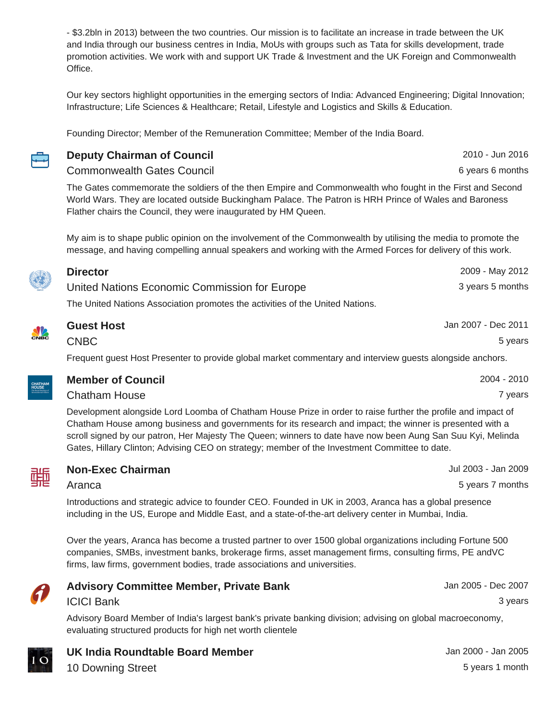- \$3.2bln in 2013) between the two countries. Our mission is to facilitate an increase in trade between the UK and India through our business centres in India, MoUs with groups such as Tata for skills development, trade promotion activities. We work with and support UK Trade & Investment and the UK Foreign and Commonwealth Office.

Our key sectors highlight opportunities in the emerging sectors of India: Advanced Engineering; Digital Innovation; Infrastructure; Life Sciences & Healthcare; Retail, Lifestyle and Logistics and Skills & Education.

**Deputy Chairman of Council** 2010 - Jun 2016

Founding Director; Member of the Remuneration Committee; Member of the India Board.

| ۰. |
|----|

## Commonwealth Gates Council 6 years 6 months

The Gates commemorate the soldiers of the then Empire and Commonwealth who fought in the First and Second World Wars. They are located outside Buckingham Palace. The Patron is HRH Prince of Wales and Baroness Flather chairs the Council, they were inaugurated by HM Queen.

My aim is to shape public opinion on the involvement of the Commonwealth by utilising the media to promote the message, and having compelling annual speakers and working with the Armed Forces for delivery of this work.

| <b>Director</b>                                                               | 2009 - May 2012  |
|-------------------------------------------------------------------------------|------------------|
| United Nations Economic Commission for Europe                                 | 3 years 5 months |
| The United Nations Association promotes the activities of the United Nations. |                  |
|                                                                               |                  |

| <b>Guest Host</b> | Jan 2007 - Dec 2011 |
|-------------------|---------------------|
| <b>CNBC</b>       | 5 years             |
| .                 |                     |

**Member of Council** 2004 - 2010 **Chatham House** 7 years 7 years 2004 12:00 the contract of the contract of the contract of the contract of the contract of the contract of the contract of the contract of the contract of the contract of the contract of the

Frequent guest Host Presenter to provide global market commentary and interview guests alongside anchors.

| <b>CHATHAM</b><br><b>HOUSE</b><br>The Royal Institute of<br><b>International Affairs</b> |  |
|------------------------------------------------------------------------------------------|--|

**NA** 

Development alongside Lord Loomba of Chatham House Prize in order to raise further the profile and impact of Chatham House among business and governments for its research and impact; the winner is presented with a scroll signed by our patron, Her Majesty The Queen; winners to date have now been Aung San Suu Kyi, Melinda Gates, Hillary Clinton; Advising CEO on strategy; member of the Investment Committee to date.



### **Non-Exec Chairman** Jul 2003 - Jan 2009

Aranca 5 years 7 months

Introductions and strategic advice to founder CEO. Founded in UK in 2003, Aranca has a global presence including in the US, Europe and Middle East, and a state-of-the-art delivery center in Mumbai, India.

Over the years, Aranca has become a trusted partner to over 1500 global organizations including Fortune 500 companies, SMBs, investment banks, brokerage firms, asset management firms, consulting firms, PE andVC firms, law firms, government bodies, trade associations and universities.



## **Advisory Committee Member, Private Bank** Many 1975 - Many 2005 - Dec 2007 ICICI Bank 3 years

Advisory Board Member of India's largest bank's private banking division; advising on global macroeconomy, evaluating structured products for high net worth clientele

**UK India Roundtable Board Member Jan 2000 - Jan 2000 - Jan 2005** 

10 Downing Street 5 years 1 month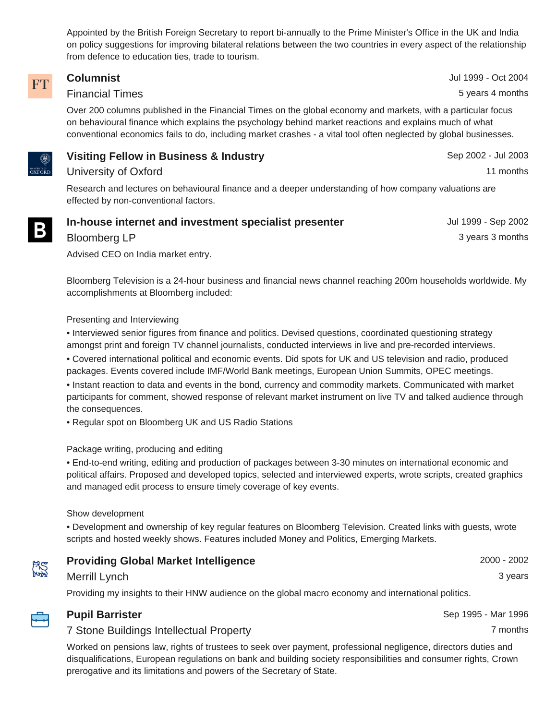Appointed by the British Foreign Secretary to report bi-annually to the Prime Minister's Office in the UK and India on policy suggestions for improving bilateral relations between the two countries in every aspect of the relationship from defence to education ties, trade to tourism.

### **Columnist** Jul 1999 - Oct 2004 **FT** Financial Times **5 years 4 months** Over 200 columns published in the Financial Times on the global economy and markets, with a particular focus on behavioural finance which explains the psychology behind market reactions and explains much of what conventional economics fails to do, including market crashes - a vital tool often neglected by global businesses. **Visiting Fellow in Business & Industry** Sep 2002 - Jul 2003

University of Oxford 11 months

Research and lectures on behavioural finance and a deeper understanding of how company valuations are effected by non-conventional factors.

| In-house internet and investment specialist presenter | Jul 1999 - Sep 2002 |
|-------------------------------------------------------|---------------------|
| Bloomberg LP                                          | 3 years 3 months    |

Advised CEO on India market entry.

Bloomberg Television is a 24-hour business and financial news channel reaching 200m households worldwide. My accomplishments at Bloomberg included:

### Presenting and Interviewing

• Interviewed senior figures from finance and politics. Devised questions, coordinated questioning strategy amongst print and foreign TV channel journalists, conducted interviews in live and pre-recorded interviews.

• Covered international political and economic events. Did spots for UK and US television and radio, produced packages. Events covered include IMF/World Bank meetings, European Union Summits, OPEC meetings.

• Instant reaction to data and events in the bond, currency and commodity markets. Communicated with market participants for comment, showed response of relevant market instrument on live TV and talked audience through the consequences.

• Regular spot on Bloomberg UK and US Radio Stations

### Package writing, producing and editing

• End-to-end writing, editing and production of packages between 3-30 minutes on international economic and political affairs. Proposed and developed topics, selected and interviewed experts, wrote scripts, created graphics and managed edit process to ensure timely coverage of key events.

### Show development

• Development and ownership of key regular features on Bloomberg Television. Created links with guests, wrote scripts and hosted weekly shows. Features included Money and Politics, Emerging Markets.

| <b>Providing Global Market Intelligence</b> | 2000 - 2002 |
|---------------------------------------------|-------------|
| Merrill Lynch                               | 3 vears     |

Providing my insights to their HNW audience on the global macro economy and international politics.



### **Pupil Barrister** Sep 1995 - Mar 1996

### 7 Stone Buildings Intellectual Property **7** months

Worked on pensions law, rights of trustees to seek over payment, professional negligence, directors duties and disqualifications, European regulations on bank and building society responsibilities and consumer rights, Crown prerogative and its limitations and powers of the Secretary of State.



<sup>jniversity of</sup><br>OXFORD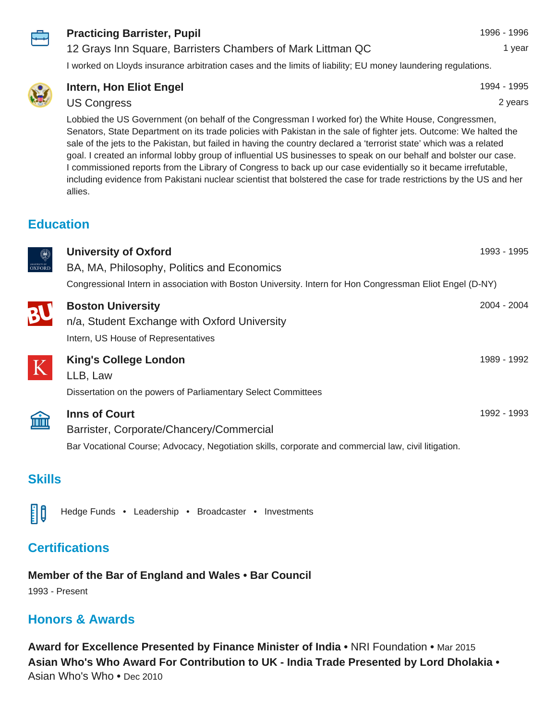

### **Practicing Barrister, Pupil** 1996 - 1996 - 1996 - 1996 - 1996

### 12 Grays Inn Square, Barristers Chambers of Mark Littman QC 1 year

I worked on Lloyds insurance arbitration cases and the limits of liability; EU money laundering regulations.



## **Intern, Hon Eliot Engel 1994 - 1995**

### US Congress 2 years

Lobbied the US Government (on behalf of the Congressman I worked for) the White House, Congressmen, Senators, State Department on its trade policies with Pakistan in the sale of fighter jets. Outcome: We halted the sale of the jets to the Pakistan, but failed in having the country declared a 'terrorist state' which was a related goal. I created an informal lobby group of influential US businesses to speak on our behalf and bolster our case. I commissioned reports from the Library of Congress to back up our case evidentially so it became irrefutable, including evidence from Pakistani nuclear scientist that bolstered the case for trade restrictions by the US and her allies.

## **Education**

| 0<br>UNIVERSITY OF OXFORD | <b>University of Oxford</b><br>BA, MA, Philosophy, Politics and Economics                                                                                                | 1993 - 1995 |
|---------------------------|--------------------------------------------------------------------------------------------------------------------------------------------------------------------------|-------------|
|                           | Congressional Intern in association with Boston University. Intern for Hon Congressman Eliot Engel (D-NY)                                                                |             |
| BL                        | <b>Boston University</b><br>n/a, Student Exchange with Oxford University<br>Intern, US House of Representatives                                                          | 2004 - 2004 |
| K                         | <b>King's College London</b><br>LLB, Law<br>Dissertation on the powers of Parliamentary Select Committees                                                                | 1989 - 1992 |
| 血                         | <b>Inns of Court</b><br>Barrister, Corporate/Chancery/Commercial<br>Bar Vocational Course; Advocacy, Negotiation skills, corporate and commercial law, civil litigation. | 1992 - 1993 |

## **Skills**



Hedge Funds • Leadership • Broadcaster • Investments

## **Certifications**

**Member of the Bar of England and Wales • Bar Council**

1993 - Present

## **Honors & Awards**

**Award for Excellence Presented by Finance Minister of India •** NRI Foundation **•** Mar 2015 **Asian Who's Who Award For Contribution to UK - India Trade Presented by Lord Dholakia •** Asian Who's Who **•** Dec 2010